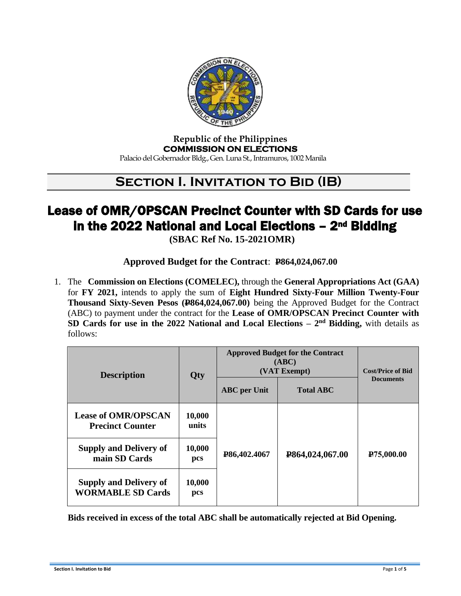

#### **Republic of the Philippines COMMISSION ON ELECTIONS**  Palacio del Gobernador Bldg., Gen. Luna St., Intramuros, 1002 Manila

## **SECTION I. INVITATION TO BID (IB)**

# Lease of OMR/OPSCAN Precinct Counter with SD Cards for use in the 2022 National and Local Elections - 2<sup>nd</sup> Bidding

**(SBAC Ref No. 15-2021OMR)**

### **Approved Budget for the Contract**: **P864,024,067.00**

1. The **Commission on Elections (COMELEC),** through the **General Appropriations Act (GAA)** for **FY 2021,** intends to apply the sum of **Eight Hundred Sixty-Four Million Twenty-Four Thousand Sixty-Seven Pesos (P864,024,067.00)** being the Approved Budget for the Contract (ABC) to payment under the contract for the **Lease of OMR/OPSCAN Precinct Counter with SD Cards for use in the 2022 National and Local Elections**  $-2^{nd}$  **Bidding, with details as** follows:

| <b>Description</b>                                        | <b>Qty</b>      | <b>Approved Budget for the Contract</b><br>(ABC)<br>(VAT Exempt)<br><b>ABC</b> per Unit<br><b>Total ABC</b> |                 | <b>Cost/Price of Bid</b><br><b>Documents</b> |
|-----------------------------------------------------------|-----------------|-------------------------------------------------------------------------------------------------------------|-----------------|----------------------------------------------|
| <b>Lease of OMR/OPSCAN</b><br><b>Precinct Counter</b>     | 10,000<br>units |                                                                                                             |                 |                                              |
| <b>Supply and Delivery of</b><br>main SD Cards            | 10,000<br>pcs   | P86,402.4067                                                                                                | P864,024,067.00 | P <sub>75</sub> ,000.00                      |
| <b>Supply and Delivery of</b><br><b>WORMABLE SD Cards</b> | 10,000<br>pcs   |                                                                                                             |                 |                                              |

**Bids received in excess of the total ABC shall be automatically rejected at Bid Opening.**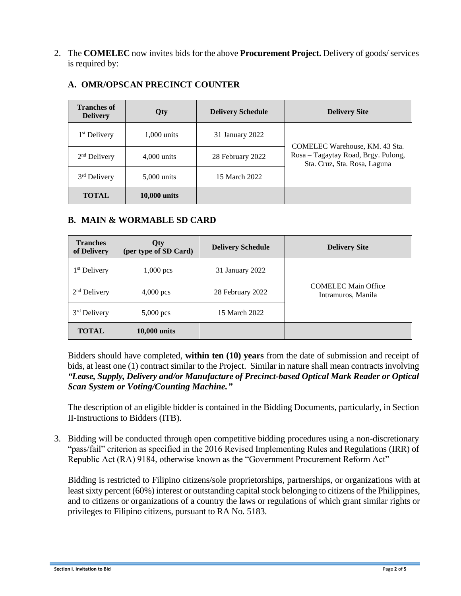2. The **COMELEC** now invites bids for the above **Procurement Project.** Delivery of goods/ services is required by:

| <b>Tranches of</b><br><b>Delivery</b> | Qty                 | <b>Delivery Schedule</b> | <b>Delivery Site</b>                                                                                  |
|---------------------------------------|---------------------|--------------------------|-------------------------------------------------------------------------------------------------------|
| 1 <sup>st</sup> Delivery              | $1,000$ units       | 31 January 2022          |                                                                                                       |
| $2nd$ Delivery                        | $4,000$ units       | 28 February 2022         | COMELEC Warehouse, KM. 43 Sta.<br>Rosa - Tagaytay Road, Brgy. Pulong,<br>Sta. Cruz, Sta. Rosa, Laguna |
| 3 <sup>rd</sup> Delivery              | 5,000 units         | 15 March 2022            |                                                                                                       |
| <b>TOTAL</b>                          | <b>10,000 units</b> |                          |                                                                                                       |

#### **A. OMR/OPSCAN PRECINCT COUNTER**

#### **B. MAIN & WORMABLE SD CARD**

| <b>Tranches</b><br>of Delivery | Qty<br>(per type of SD Card) | <b>Delivery Schedule</b> | <b>Delivery Site</b>                             |
|--------------------------------|------------------------------|--------------------------|--------------------------------------------------|
| 1 <sup>st</sup> Delivery       | $1,000$ pcs                  | 31 January 2022          |                                                  |
| $2nd$ Delivery                 | $4,000$ pcs                  | 28 February 2022         | <b>COMELEC Main Office</b><br>Intramuros, Manila |
| 3 <sup>rd</sup> Delivery       | $5,000$ pcs                  | 15 March 2022            |                                                  |
| <b>TOTAL</b>                   | $10,000$ units               |                          |                                                  |

Bidders should have completed, **within ten (10) years** from the date of submission and receipt of bids, at least one (1) contract similar to the Project. Similar in nature shall mean contracts involving *"Lease, Supply, Delivery and/or Manufacture of Precinct-based Optical Mark Reader or Optical Scan System or Voting/Counting Machine."*

The description of an eligible bidder is contained in the Bidding Documents, particularly, in Section II-Instructions to Bidders (ITB).

3. Bidding will be conducted through open competitive bidding procedures using a non-discretionary "pass/fail" criterion as specified in the 2016 Revised Implementing Rules and Regulations (IRR) of Republic Act (RA) 9184, otherwise known as the "Government Procurement Reform Act"

Bidding is restricted to Filipino citizens/sole proprietorships, partnerships, or organizations with at least sixty percent (60%) interest or outstanding capital stock belonging to citizens of the Philippines, and to citizens or organizations of a country the laws or regulations of which grant similar rights or privileges to Filipino citizens, pursuant to RA No. 5183.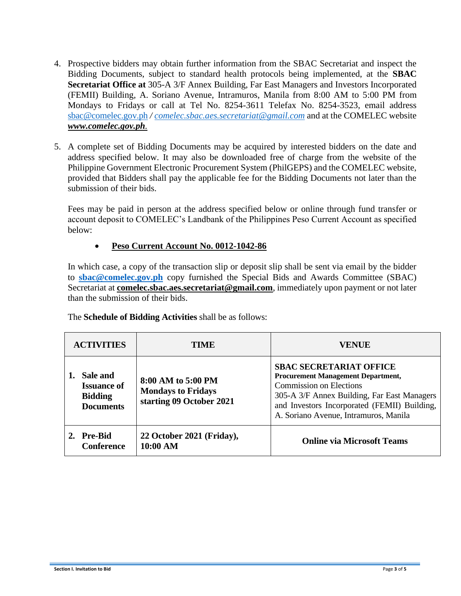- 4. Prospective bidders may obtain further information from the SBAC Secretariat and inspect the Bidding Documents, subject to standard health protocols being implemented, at the **SBAC Secretariat Office at** 305-A 3/F Annex Building, Far East Managers and Investors Incorporated (FEMII) Building, A. Soriano Avenue, Intramuros, Manila from 8:00 AM to 5:00 PM from Mondays to Fridays or call at Tel No. 8254-3611 Telefax No. 8254-3523, email address [sbac@comelec.gov.ph](mailto:sbac@comelec.gov.ph) */ [comelec.sbac.aes.secretariat@gmail.com](mailto:bacsecretariat.pmd@gmail.com)* and at the COMELEC website *[www.comelec.gov.ph](http://www.comelec.gov.ph/).*
- 5. A complete set of Bidding Documents may be acquired by interested bidders on the date and address specified below. It may also be downloaded free of charge from the website of the Philippine Government Electronic Procurement System (PhilGEPS) and the COMELEC website, provided that Bidders shall pay the applicable fee for the Bidding Documents not later than the submission of their bids.

Fees may be paid in person at the address specified below or online through fund transfer or account deposit to COMELEC's Landbank of the Philippines Peso Current Account as specified below:

#### • **Peso Current Account No. 0012-1042-86**

In which case, a copy of the transaction slip or deposit slip shall be sent via email by the bidder to **[sbac@comelec.gov.ph](mailto:sbac@comelec.gov.ph)** copy furnished the Special Bids and Awards Committee (SBAC) Secretariat at **[comelec.sbac.aes.secretariat@gmail.com](mailto:bacsecretariat.pmd@gmail.com)**, immediately upon payment or not later than the submission of their bids.

| <b>ACTIVITIES</b>                                                    | <b>TIME</b>                                                                 | VENUE                                                                                                                                                                                                                                                 |
|----------------------------------------------------------------------|-----------------------------------------------------------------------------|-------------------------------------------------------------------------------------------------------------------------------------------------------------------------------------------------------------------------------------------------------|
| Sale and<br><b>Issuance of</b><br><b>Bidding</b><br><b>Documents</b> | 8:00 AM to 5:00 PM<br><b>Mondays to Fridays</b><br>starting 09 October 2021 | <b>SBAC SECRETARIAT OFFICE</b><br><b>Procurement Management Department,</b><br><b>Commission on Elections</b><br>305-A 3/F Annex Building, Far East Managers<br>and Investors Incorporated (FEMII) Building,<br>A. Soriano Avenue, Intramuros, Manila |
| 2. Pre-Bid<br><b>Conference</b>                                      | 22 October 2021 (Friday),<br>10:00 AM                                       | <b>Online via Microsoft Teams</b>                                                                                                                                                                                                                     |

The **Schedule of Bidding Activities** shall be as follows: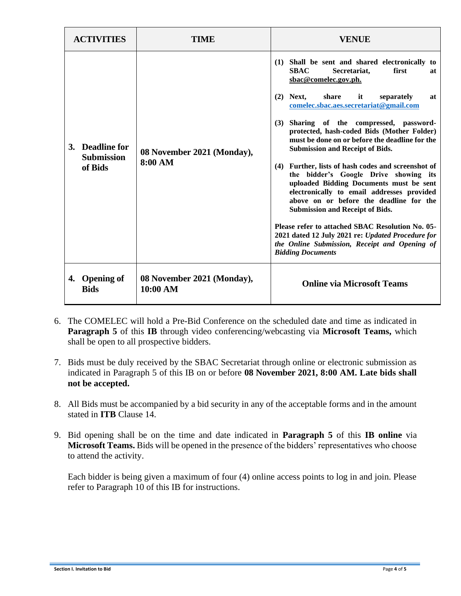| <b>ACTIVITIES</b> |                                                 | TIME                                   | VENUE                                                                                                                                                                                                                                                                                                                                                                                                                                                                                                                                                                                                                                                                                                                                                                                                                                                                           |
|-------------------|-------------------------------------------------|----------------------------------------|---------------------------------------------------------------------------------------------------------------------------------------------------------------------------------------------------------------------------------------------------------------------------------------------------------------------------------------------------------------------------------------------------------------------------------------------------------------------------------------------------------------------------------------------------------------------------------------------------------------------------------------------------------------------------------------------------------------------------------------------------------------------------------------------------------------------------------------------------------------------------------|
|                   | 3. Deadline for<br><b>Submission</b><br>of Bids | 08 November 2021 (Monday),<br>8:00 AM  | Shall be sent and shared electronically to<br>(1)<br>Secretariat,<br>first<br><b>SBAC</b><br>at<br>sbac@comelec.gov.ph.<br>share<br>$(2)$ Next,<br>it<br>separately<br>at<br>comelec.sbac.aes.secretariat@gmail.com<br>Sharing of the compressed, password-<br>(3)<br>protected, hash-coded Bids (Mother Folder)<br>must be done on or before the deadline for the<br><b>Submission and Receipt of Bids.</b><br>(4) Further, lists of hash codes and screenshot of<br>the bidder's Google Drive showing its<br>uploaded Bidding Documents must be sent<br>electronically to email addresses provided<br>above on or before the deadline for the<br><b>Submission and Receipt of Bids.</b><br>Please refer to attached SBAC Resolution No. 05-<br>2021 dated 12 July 2021 re: Updated Procedure for<br>the Online Submission, Receipt and Opening of<br><b>Bidding Documents</b> |
|                   | 4. Opening of<br><b>Bids</b>                    | 08 November 2021 (Monday),<br>10:00 AM | <b>Online via Microsoft Teams</b>                                                                                                                                                                                                                                                                                                                                                                                                                                                                                                                                                                                                                                                                                                                                                                                                                                               |

- 6. The COMELEC will hold a Pre-Bid Conference on the scheduled date and time as indicated in **Paragraph 5** of this **IB** through video conferencing/webcasting via **Microsoft Teams,** which shall be open to all prospective bidders.
- 7. Bids must be duly received by the SBAC Secretariat through online or electronic submission as indicated in Paragraph 5 of this IB on or before **08 November 2021, 8:00 AM. Late bids shall not be accepted.**
- 8. All Bids must be accompanied by a bid security in any of the acceptable forms and in the amount stated in **ITB** Clause 14.
- 9. Bid opening shall be on the time and date indicated in **Paragraph 5** of this **IB online** via **Microsoft Teams.** Bids will be opened in the presence of the bidders' representatives who choose to attend the activity.

Each bidder is being given a maximum of four (4) online access points to log in and join. Please refer to Paragraph 10 of this IB for instructions.